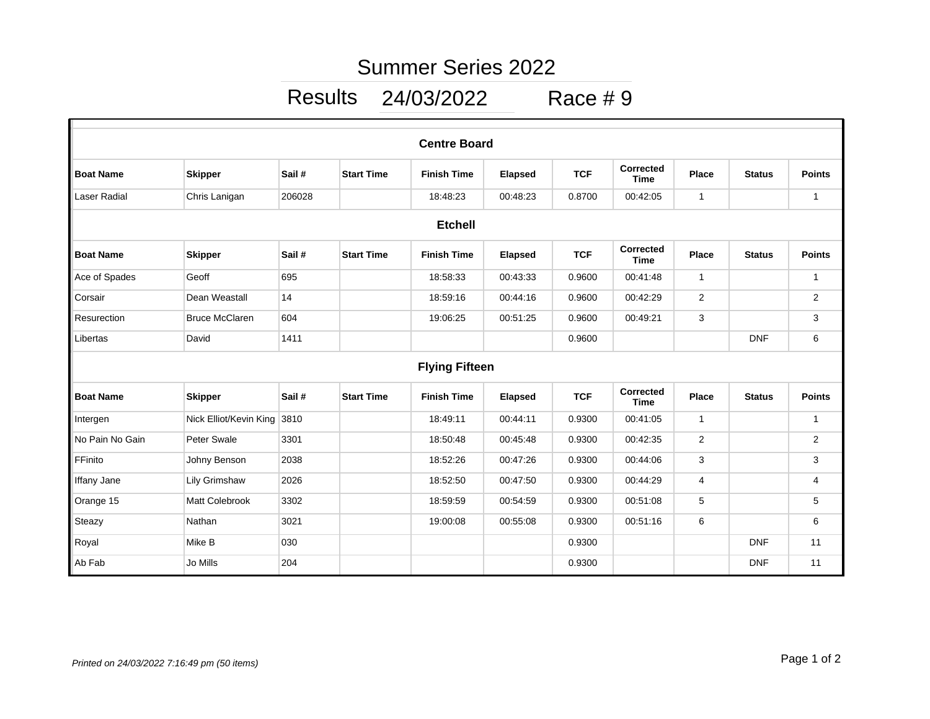## Summer Series 2022

## Results 24/03/2022 Race # 9

| <b>Centre Board</b>   |                        |        |                   |                    |                |            |                                 |                |               |                |  |  |
|-----------------------|------------------------|--------|-------------------|--------------------|----------------|------------|---------------------------------|----------------|---------------|----------------|--|--|
| <b>Boat Name</b>      | <b>Skipper</b>         | Sail#  | <b>Start Time</b> | <b>Finish Time</b> | <b>Elapsed</b> | <b>TCF</b> | Corrected<br><b>Time</b>        | <b>Place</b>   | <b>Status</b> | <b>Points</b>  |  |  |
| Laser Radial          | Chris Lanigan          | 206028 |                   | 18:48:23           | 00:48:23       | 0.8700     | 00:42:05                        | $\mathbf{1}$   |               | $\mathbf{1}$   |  |  |
| <b>Etchell</b>        |                        |        |                   |                    |                |            |                                 |                |               |                |  |  |
| <b>Boat Name</b>      | <b>Skipper</b>         | Sail # | <b>Start Time</b> | <b>Finish Time</b> | <b>Elapsed</b> | <b>TCF</b> | Corrected<br><b>Time</b>        | <b>Place</b>   | <b>Status</b> | <b>Points</b>  |  |  |
| Ace of Spades         | Geoff                  | 695    |                   | 18:58:33           | 00:43:33       | 0.9600     | 00:41:48                        | $\mathbf{1}$   |               | $\mathbf{1}$   |  |  |
| Corsair               | Dean Weastall          | 14     |                   | 18:59:16           | 00:44:16       | 0.9600     | 00:42:29                        | $\overline{2}$ |               | $\overline{2}$ |  |  |
| Resurection           | <b>Bruce McClaren</b>  | 604    |                   | 19:06:25           | 00:51:25       | 0.9600     | 00:49:21                        | 3              |               | 3              |  |  |
| Libertas              | David                  | 1411   |                   |                    |                | 0.9600     |                                 |                | <b>DNF</b>    | 6              |  |  |
| <b>Flying Fifteen</b> |                        |        |                   |                    |                |            |                                 |                |               |                |  |  |
| <b>Boat Name</b>      | <b>Skipper</b>         | Sail#  | <b>Start Time</b> | <b>Finish Time</b> | <b>Elapsed</b> | <b>TCF</b> | <b>Corrected</b><br><b>Time</b> | Place          | <b>Status</b> | <b>Points</b>  |  |  |
| Intergen              | Nick Elliot/Kevin King | 3810   |                   | 18:49:11           | 00:44:11       | 0.9300     | 00:41:05                        | $\mathbf{1}$   |               | $\mathbf{1}$   |  |  |
| No Pain No Gain       | Peter Swale            | 3301   |                   | 18:50:48           | 00:45:48       | 0.9300     | 00:42:35                        | $\overline{2}$ |               | $\overline{2}$ |  |  |
| FFinito               | Johny Benson           | 2038   |                   | 18:52:26           | 00:47:26       | 0.9300     | 00:44:06                        | 3              |               | 3              |  |  |
| Iffany Jane           | Lily Grimshaw          | 2026   |                   | 18:52:50           | 00:47:50       | 0.9300     | 00:44:29                        | 4              |               | 4              |  |  |
| Orange 15             | Matt Colebrook         | 3302   |                   | 18:59:59           | 00:54:59       | 0.9300     | 00:51:08                        | 5              |               | 5              |  |  |
| Steazy                | Nathan                 | 3021   |                   | 19:00:08           | 00:55:08       | 0.9300     | 00:51:16                        | 6              |               | 6              |  |  |
| Royal                 | Mike B                 | 030    |                   |                    |                | 0.9300     |                                 |                | <b>DNF</b>    | 11             |  |  |
| Ab Fab                | Jo Mills               | 204    |                   |                    |                | 0.9300     |                                 |                | <b>DNF</b>    | 11             |  |  |